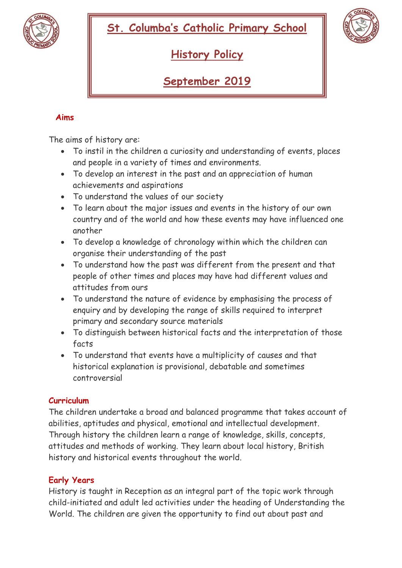



**History Policy** 

**September 2019**

# **Aims**

The aims of history are:

- To instil in the children a curiosity and understanding of events, places and people in a variety of times and environments.
- To develop an interest in the past and an appreciation of human achievements and aspirations
- To understand the values of our society
- To learn about the major issues and events in the history of our own country and of the world and how these events may have influenced one another
- To develop a knowledge of chronology within which the children can organise their understanding of the past
- To understand how the past was different from the present and that people of other times and places may have had different values and attitudes from ours
- To understand the nature of evidence by emphasising the process of enquiry and by developing the range of skills required to interpret primary and secondary source materials
- To distinguish between historical facts and the interpretation of those facts
- To understand that events have a multiplicity of causes and that historical explanation is provisional, debatable and sometimes controversial

## **Curriculum**

The children undertake a broad and balanced programme that takes account of abilities, aptitudes and physical, emotional and intellectual development. Through history the children learn a range of knowledge, skills, concepts, attitudes and methods of working. They learn about local history, British history and historical events throughout the world.

## **Early Years**

History is taught in Reception as an integral part of the topic work through child-initiated and adult led activities under the heading of Understanding the World. The children are given the opportunity to find out about past and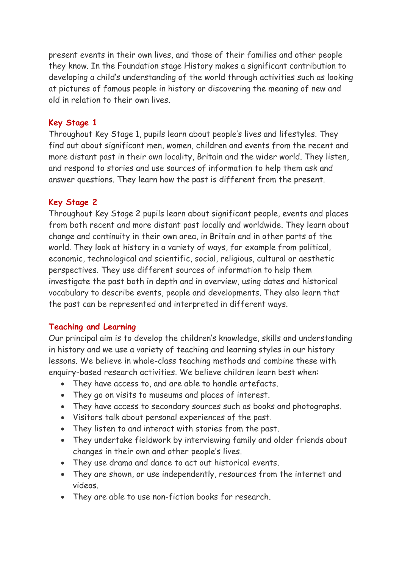present events in their own lives, and those of their families and other people they know. In the Foundation stage History makes a significant contribution to developing a child's understanding of the world through activities such as looking at pictures of famous people in history or discovering the meaning of new and old in relation to their own lives.

### **Key Stage 1**

Throughout Key Stage 1, pupils learn about people's lives and lifestyles. They find out about significant men, women, children and events from the recent and more distant past in their own locality, Britain and the wider world. They listen, and respond to stories and use sources of information to help them ask and answer questions. They learn how the past is different from the present.

#### **Key Stage 2**

Throughout Key Stage 2 pupils learn about significant people, events and places from both recent and more distant past locally and worldwide. They learn about change and continuity in their own area, in Britain and in other parts of the world. They look at history in a variety of ways, for example from political, economic, technological and scientific, social, religious, cultural or aesthetic perspectives. They use different sources of information to help them investigate the past both in depth and in overview, using dates and historical vocabulary to describe events, people and developments. They also learn that the past can be represented and interpreted in different ways.

#### **Teaching and Learning**

Our principal aim is to develop the children's knowledge, skills and understanding in history and we use a variety of teaching and learning styles in our history lessons. We believe in whole-class teaching methods and combine these with enquiry-based research activities. We believe children learn best when:

- They have access to, and are able to handle artefacts.
- They go on visits to museums and places of interest.
- They have access to secondary sources such as books and photographs.
- Visitors talk about personal experiences of the past.
- They listen to and interact with stories from the past.
- They undertake fieldwork by interviewing family and older friends about changes in their own and other people's lives.
- They use drama and dance to act out historical events.
- They are shown, or use independently, resources from the internet and videos.
- They are able to use non-fiction books for research.